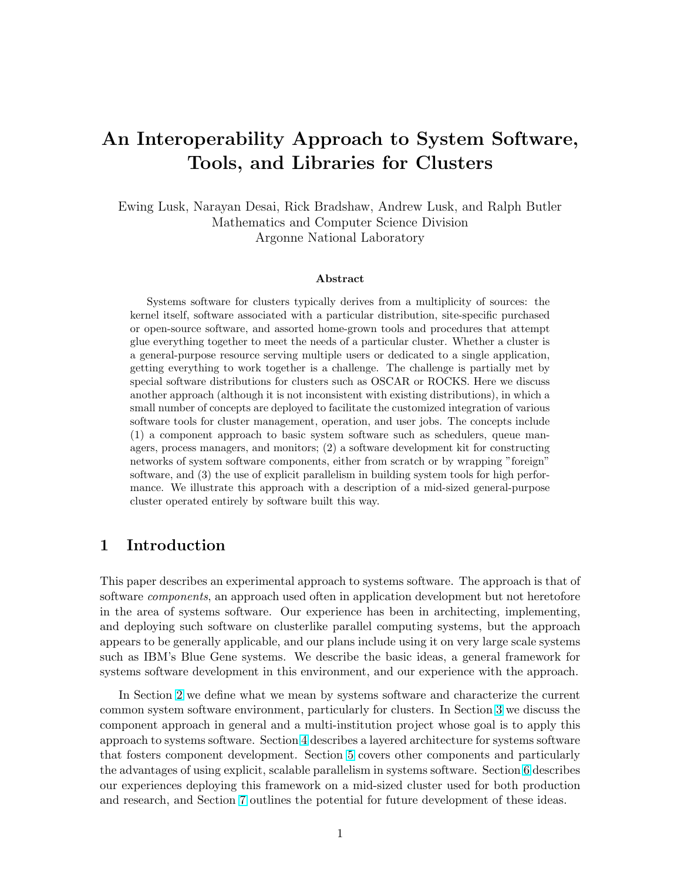# An Interoperability Approach to System Software, Tools, and Libraries for Clusters

Ewing Lusk, Narayan Desai, Rick Bradshaw, Andrew Lusk, and Ralph Butler Mathematics and Computer Science Division Argonne National Laboratory

#### Abstract

Systems software for clusters typically derives from a multiplicity of sources: the kernel itself, software associated with a particular distribution, site-specific purchased or open-source software, and assorted home-grown tools and procedures that attempt glue everything together to meet the needs of a particular cluster. Whether a cluster is a general-purpose resource serving multiple users or dedicated to a single application, getting everything to work together is a challenge. The challenge is partially met by special software distributions for clusters such as OSCAR or ROCKS. Here we discuss another approach (although it is not inconsistent with existing distributions), in which a small number of concepts are deployed to facilitate the customized integration of various software tools for cluster management, operation, and user jobs. The concepts include (1) a component approach to basic system software such as schedulers, queue managers, process managers, and monitors; (2) a software development kit for constructing networks of system software components, either from scratch or by wrapping "foreign" software, and (3) the use of explicit parallelism in building system tools for high performance. We illustrate this approach with a description of a mid-sized general-purpose cluster operated entirely by software built this way.

### 1 Introduction

This paper describes an experimental approach to systems software. The approach is that of software *components*, an approach used often in application development but not heretofore in the area of systems software. Our experience has been in architecting, implementing, and deploying such software on clusterlike parallel computing systems, but the approach appears to be generally applicable, and our plans include using it on very large scale systems such as IBM's Blue Gene systems. We describe the basic ideas, a general framework for systems software development in this environment, and our experience with the approach.

In Section [2](#page-1-0) we define what we mean by systems software and characterize the current common system software environment, particularly for clusters. In Section [3](#page-2-0) we discuss the component approach in general and a multi-institution project whose goal is to apply this approach to systems software. Section [4](#page-3-0) describes a layered architecture for systems software that fosters component development. Section [5](#page-7-0) covers other components and particularly the advantages of using explicit, scalable parallelism in systems software. Section [6](#page-8-0) describes our experiences deploying this framework on a mid-sized cluster used for both production and research, and Section [7](#page-9-0) outlines the potential for future development of these ideas.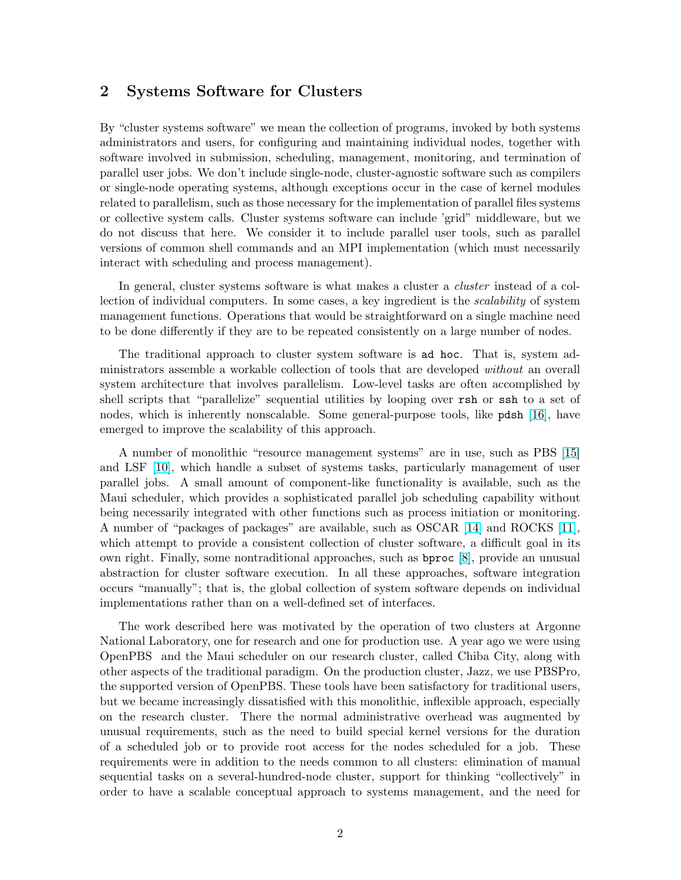### <span id="page-1-0"></span>2 Systems Software for Clusters

By "cluster systems software" we mean the collection of programs, invoked by both systems administrators and users, for configuring and maintaining individual nodes, together with software involved in submission, scheduling, management, monitoring, and termination of parallel user jobs. We don't include single-node, cluster-agnostic software such as compilers or single-node operating systems, although exceptions occur in the case of kernel modules related to parallelism, such as those necessary for the implementation of parallel files systems or collective system calls. Cluster systems software can include 'grid" middleware, but we do not discuss that here. We consider it to include parallel user tools, such as parallel versions of common shell commands and an MPI implementation (which must necessarily interact with scheduling and process management).

In general, cluster systems software is what makes a cluster a *cluster* instead of a collection of individual computers. In some cases, a key ingredient is the scalability of system management functions. Operations that would be straightforward on a single machine need to be done differently if they are to be repeated consistently on a large number of nodes.

The traditional approach to cluster system software is ad hoc. That is, system administrators assemble a workable collection of tools that are developed without an overall system architecture that involves parallelism. Low-level tasks are often accomplished by shell scripts that "parallelize" sequential utilities by looping over rsh or ssh to a set of nodes, which is inherently nonscalable. Some general-purpose tools, like pdsh [\[16\]](#page-10-0), have emerged to improve the scalability of this approach.

A number of monolithic "resource management systems" are in use, such as PBS [\[15\]](#page-10-0) and LSF [\[10\]](#page-10-0), which handle a subset of systems tasks, particularly management of user parallel jobs. A small amount of component-like functionality is available, such as the Maui scheduler, which provides a sophisticated parallel job scheduling capability without being necessarily integrated with other functions such as process initiation or monitoring. A number of "packages of packages" are available, such as OSCAR [\[14\]](#page-10-0) and ROCKS [\[11\]](#page-10-0), which attempt to provide a consistent collection of cluster software, a difficult goal in its own right. Finally, some nontraditional approaches, such as bproc [\[8\]](#page-10-0), provide an unusual abstraction for cluster software execution. In all these approaches, software integration occurs "manually"; that is, the global collection of system software depends on individual implementations rather than on a well-defined set of interfaces.

The work described here was motivated by the operation of two clusters at Argonne National Laboratory, one for research and one for production use. A year ago we were using OpenPBS and the Maui scheduler on our research cluster, called Chiba City, along with other aspects of the traditional paradigm. On the production cluster, Jazz, we use PBSPro, the supported version of OpenPBS. These tools have been satisfactory for traditional users, but we became increasingly dissatisfied with this monolithic, inflexible approach, especially on the research cluster. There the normal administrative overhead was augmented by unusual requirements, such as the need to build special kernel versions for the duration of a scheduled job or to provide root access for the nodes scheduled for a job. These requirements were in addition to the needs common to all clusters: elimination of manual sequential tasks on a several-hundred-node cluster, support for thinking "collectively" in order to have a scalable conceptual approach to systems management, and the need for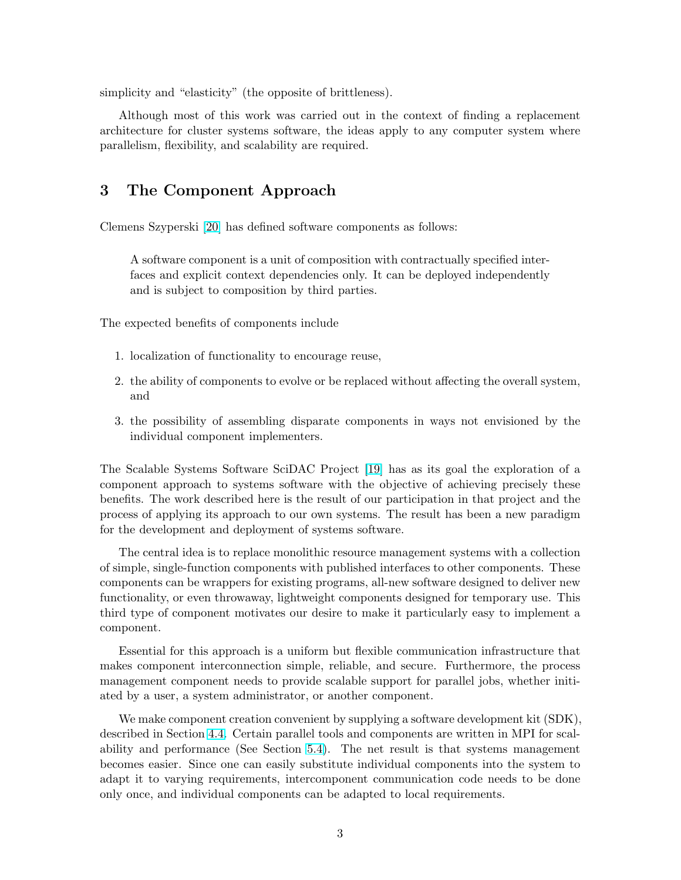<span id="page-2-0"></span>simplicity and "elasticity" (the opposite of brittleness).

Although most of this work was carried out in the context of finding a replacement architecture for cluster systems software, the ideas apply to any computer system where parallelism, flexibility, and scalability are required.

# 3 The Component Approach

Clemens Szyperski [\[20\]](#page-10-0) has defined software components as follows:

A software component is a unit of composition with contractually specified interfaces and explicit context dependencies only. It can be deployed independently and is subject to composition by third parties.

The expected benefits of components include

- 1. localization of functionality to encourage reuse,
- 2. the ability of components to evolve or be replaced without affecting the overall system, and
- 3. the possibility of assembling disparate components in ways not envisioned by the individual component implementers.

The Scalable Systems Software SciDAC Project [\[19\]](#page-10-0) has as its goal the exploration of a component approach to systems software with the objective of achieving precisely these benefits. The work described here is the result of our participation in that project and the process of applying its approach to our own systems. The result has been a new paradigm for the development and deployment of systems software.

The central idea is to replace monolithic resource management systems with a collection of simple, single-function components with published interfaces to other components. These components can be wrappers for existing programs, all-new software designed to deliver new functionality, or even throwaway, lightweight components designed for temporary use. This third type of component motivates our desire to make it particularly easy to implement a component.

Essential for this approach is a uniform but flexible communication infrastructure that makes component interconnection simple, reliable, and secure. Furthermore, the process management component needs to provide scalable support for parallel jobs, whether initiated by a user, a system administrator, or another component.

We make component creation convenient by supplying a software development kit (SDK), described in Section [4.4.](#page-5-0) Certain parallel tools and components are written in MPI for scalability and performance (See Section [5.4\)](#page-8-0). The net result is that systems management becomes easier. Since one can easily substitute individual components into the system to adapt it to varying requirements, intercomponent communication code needs to be done only once, and individual components can be adapted to local requirements.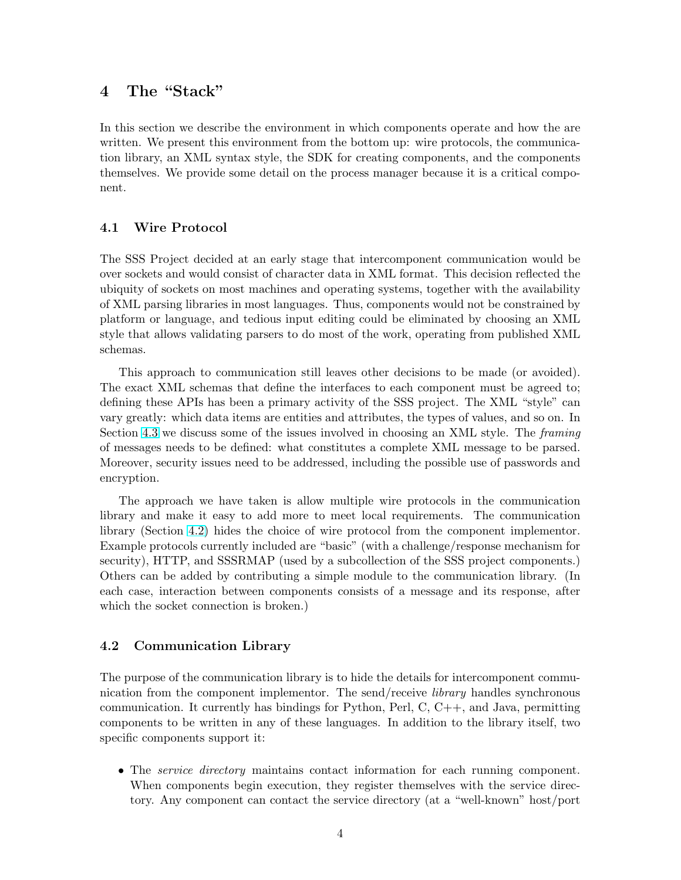### <span id="page-3-0"></span>4 The "Stack"

In this section we describe the environment in which components operate and how the are written. We present this environment from the bottom up: wire protocols, the communication library, an XML syntax style, the SDK for creating components, and the components themselves. We provide some detail on the process manager because it is a critical component.

#### 4.1 Wire Protocol

The SSS Project decided at an early stage that intercomponent communication would be over sockets and would consist of character data in XML format. This decision reflected the ubiquity of sockets on most machines and operating systems, together with the availability of XML parsing libraries in most languages. Thus, components would not be constrained by platform or language, and tedious input editing could be eliminated by choosing an XML style that allows validating parsers to do most of the work, operating from published XML schemas.

This approach to communication still leaves other decisions to be made (or avoided). The exact XML schemas that define the interfaces to each component must be agreed to; defining these APIs has been a primary activity of the SSS project. The XML "style" can vary greatly: which data items are entities and attributes, the types of values, and so on. In Section [4.3](#page-4-0) we discuss some of the issues involved in choosing an XML style. The framing of messages needs to be defined: what constitutes a complete XML message to be parsed. Moreover, security issues need to be addressed, including the possible use of passwords and encryption.

The approach we have taken is allow multiple wire protocols in the communication library and make it easy to add more to meet local requirements. The communication library (Section 4.2) hides the choice of wire protocol from the component implementor. Example protocols currently included are "basic" (with a challenge/response mechanism for security), HTTP, and SSSRMAP (used by a subcollection of the SSS project components.) Others can be added by contributing a simple module to the communication library. (In each case, interaction between components consists of a message and its response, after which the socket connection is broken.)

#### 4.2 Communication Library

The purpose of the communication library is to hide the details for intercomponent communication from the component implementor. The send/receive *library* handles synchronous communication. It currently has bindings for Python, Perl, C, C++, and Java, permitting components to be written in any of these languages. In addition to the library itself, two specific components support it:

• The *service directory* maintains contact information for each running component. When components begin execution, they register themselves with the service directory. Any component can contact the service directory (at a "well-known" host/port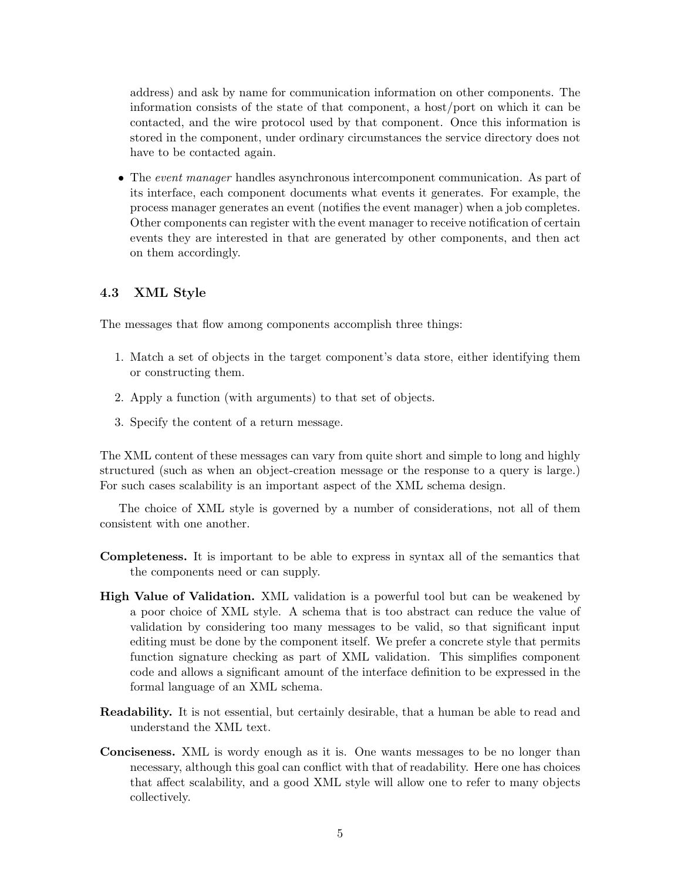<span id="page-4-0"></span>address) and ask by name for communication information on other components. The information consists of the state of that component, a host/port on which it can be contacted, and the wire protocol used by that component. Once this information is stored in the component, under ordinary circumstances the service directory does not have to be contacted again.

• The event manager handles asynchronous intercomponent communication. As part of its interface, each component documents what events it generates. For example, the process manager generates an event (notifies the event manager) when a job completes. Other components can register with the event manager to receive notification of certain events they are interested in that are generated by other components, and then act on them accordingly.

#### 4.3 XML Style

The messages that flow among components accomplish three things:

- 1. Match a set of objects in the target component's data store, either identifying them or constructing them.
- 2. Apply a function (with arguments) to that set of objects.
- 3. Specify the content of a return message.

The XML content of these messages can vary from quite short and simple to long and highly structured (such as when an object-creation message or the response to a query is large.) For such cases scalability is an important aspect of the XML schema design.

The choice of XML style is governed by a number of considerations, not all of them consistent with one another.

- Completeness. It is important to be able to express in syntax all of the semantics that the components need or can supply.
- **High Value of Validation.** XML validation is a powerful tool but can be weakened by a poor choice of XML style. A schema that is too abstract can reduce the value of validation by considering too many messages to be valid, so that significant input editing must be done by the component itself. We prefer a concrete style that permits function signature checking as part of XML validation. This simplifies component code and allows a significant amount of the interface definition to be expressed in the formal language of an XML schema.
- Readability. It is not essential, but certainly desirable, that a human be able to read and understand the XML text.
- Conciseness. XML is wordy enough as it is. One wants messages to be no longer than necessary, although this goal can conflict with that of readability. Here one has choices that affect scalability, and a good XML style will allow one to refer to many objects collectively.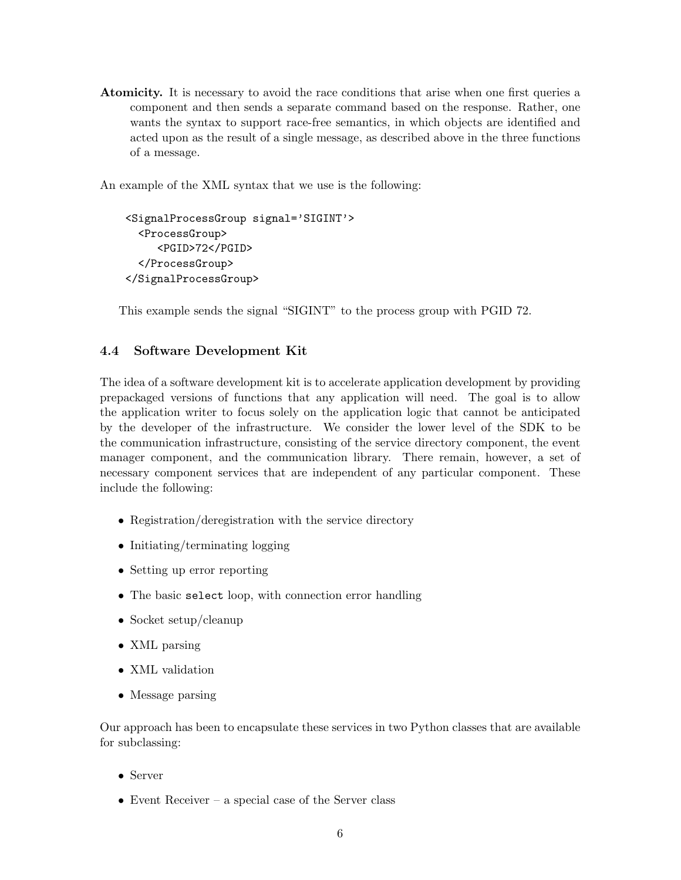<span id="page-5-0"></span>Atomicity. It is necessary to avoid the race conditions that arise when one first queries a component and then sends a separate command based on the response. Rather, one wants the syntax to support race-free semantics, in which objects are identified and acted upon as the result of a single message, as described above in the three functions of a message.

An example of the XML syntax that we use is the following:

```
<SignalProcessGroup signal='SIGINT'>
  <ProcessGroup>
     <PGID>72</PGID>
  </ProcessGroup>
</SignalProcessGroup>
```
This example sends the signal "SIGINT" to the process group with PGID 72.

#### 4.4 Software Development Kit

The idea of a software development kit is to accelerate application development by providing prepackaged versions of functions that any application will need. The goal is to allow the application writer to focus solely on the application logic that cannot be anticipated by the developer of the infrastructure. We consider the lower level of the SDK to be the communication infrastructure, consisting of the service directory component, the event manager component, and the communication library. There remain, however, a set of necessary component services that are independent of any particular component. These include the following:

- Registration/deregistration with the service directory
- Initiating/terminating logging
- Setting up error reporting
- The basic select loop, with connection error handling
- Socket setup/cleanup
- XML parsing
- XML validation
- Message parsing

Our approach has been to encapsulate these services in two Python classes that are available for subclassing:

- Server
- Event Receiver a special case of the Server class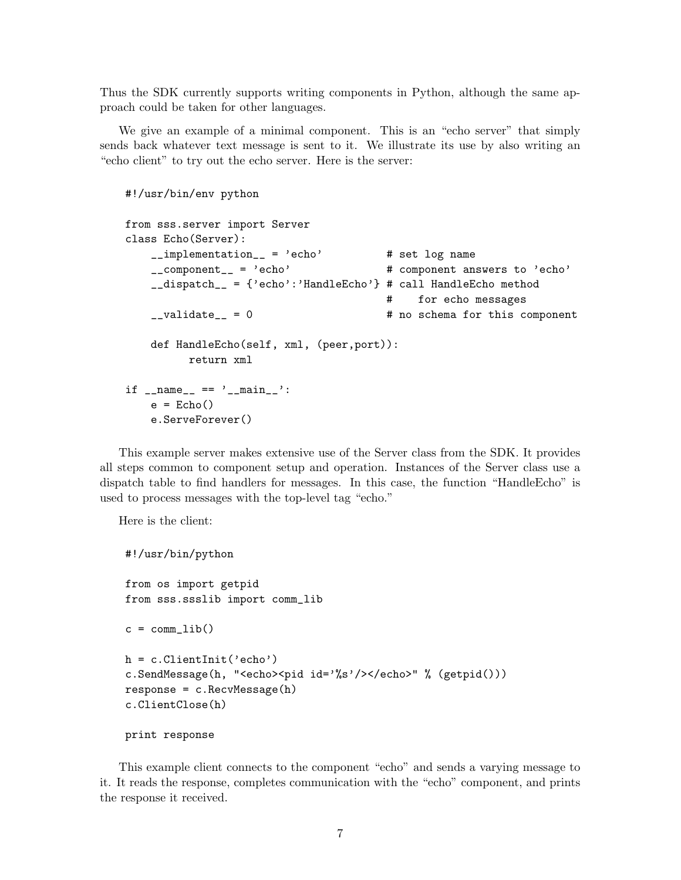Thus the SDK currently supports writing components in Python, although the same approach could be taken for other languages.

We give an example of a minimal component. This is an "echo server" that simply sends back whatever text message is sent to it. We illustrate its use by also writing an "echo client" to try out the echo server. Here is the server:

```
#!/usr/bin/env python
```

```
from sss.server import Server
class Echo(Server):
   \text{L} implementation = \text{P} echo' # set log name
   \text{1-component} = 'echo' # component answers to 'echo'
   __dispatch__ = {'echo':'HandleEcho'} # call HandleEcho method
                                        # for echo messages
   __validate__ = 0 \qquad # no schema for this component
   def HandleEcho(self, xml, (peer,port)):
         return xml
if _{\_name\_} == '_{\_main\_}':
   e = Echo()e.ServeForever()
```
This example server makes extensive use of the Server class from the SDK. It provides all steps common to component setup and operation. Instances of the Server class use a dispatch table to find handlers for messages. In this case, the function "HandleEcho" is used to process messages with the top-level tag "echo."

Here is the client:

```
#!/usr/bin/python
from os import getpid
from sss.ssslib import comm_lib
c = comm\_lib()h = c.ClientInit('echo')
c.SendMessage(h, "<echo><pid id='%s'/></echo>" % (getpid()))
response = c.RecvMessage(h)
c.ClientClose(h)
print response
```
This example client connects to the component "echo" and sends a varying message to it. It reads the response, completes communication with the "echo" component, and prints the response it received.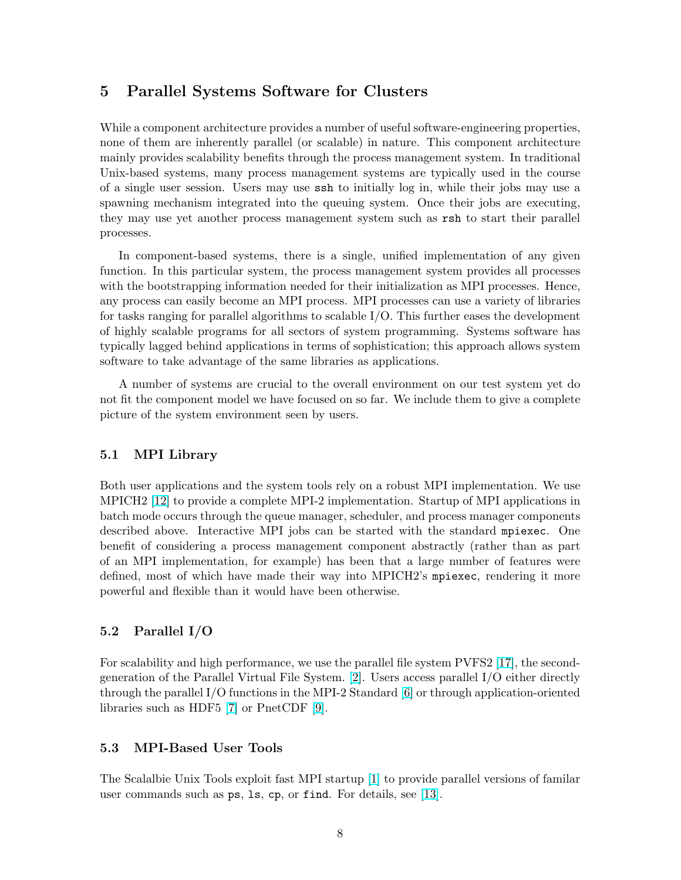### <span id="page-7-0"></span>5 Parallel Systems Software for Clusters

While a component architecture provides a number of useful software-engineering properties, none of them are inherently parallel (or scalable) in nature. This component architecture mainly provides scalability benefits through the process management system. In traditional Unix-based systems, many process management systems are typically used in the course of a single user session. Users may use ssh to initially log in, while their jobs may use a spawning mechanism integrated into the queuing system. Once their jobs are executing, they may use yet another process management system such as rsh to start their parallel processes.

In component-based systems, there is a single, unified implementation of any given function. In this particular system, the process management system provides all processes with the bootstrapping information needed for their initialization as MPI processes. Hence, any process can easily become an MPI process. MPI processes can use a variety of libraries for tasks ranging for parallel algorithms to scalable I/O. This further eases the development of highly scalable programs for all sectors of system programming. Systems software has typically lagged behind applications in terms of sophistication; this approach allows system software to take advantage of the same libraries as applications.

A number of systems are crucial to the overall environment on our test system yet do not fit the component model we have focused on so far. We include them to give a complete picture of the system environment seen by users.

#### 5.1 MPI Library

Both user applications and the system tools rely on a robust MPI implementation. We use MPICH2 [\[12\]](#page-10-0) to provide a complete MPI-2 implementation. Startup of MPI applications in batch mode occurs through the queue manager, scheduler, and process manager components described above. Interactive MPI jobs can be started with the standard mpiexec. One benefit of considering a process management component abstractly (rather than as part of an MPI implementation, for example) has been that a large number of features were defined, most of which have made their way into MPICH2's mpiexec, rendering it more powerful and flexible than it would have been otherwise.

#### 5.2 Parallel I/O

For scalability and high performance, we use the parallel file system PVFS2 [\[17\]](#page-10-0), the secondgeneration of the Parallel Virtual File System. [\[2\]](#page-9-0). Users access parallel I/O either directly through the parallel I/O functions in the MPI-2 Standard [\[6\]](#page-10-0) or through application-oriented libraries such as HDF5 [\[7\]](#page-10-0) or PnetCDF [\[9\]](#page-10-0).

#### 5.3 MPI-Based User Tools

The Scalalbie Unix Tools exploit fast MPI startup [\[1\]](#page-9-0) to provide parallel versions of familar user commands such as ps, ls, cp, or find. For details, see [\[13\]](#page-10-0).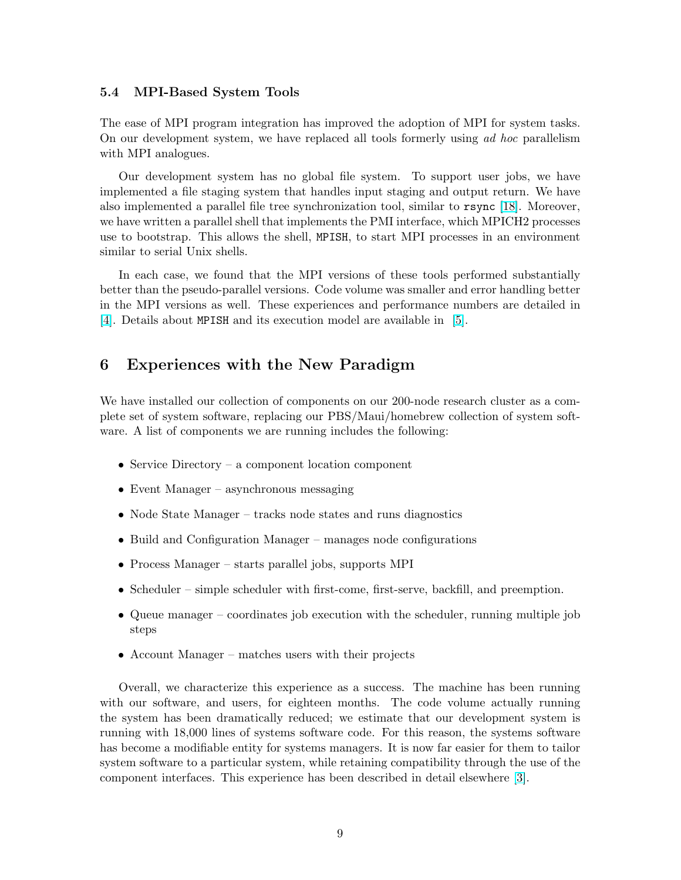#### <span id="page-8-0"></span>5.4 MPI-Based System Tools

The ease of MPI program integration has improved the adoption of MPI for system tasks. On our development system, we have replaced all tools formerly using ad hoc parallelism with MPI analogues.

Our development system has no global file system. To support user jobs, we have implemented a file staging system that handles input staging and output return. We have also implemented a parallel file tree synchronization tool, similar to rsync [\[18\]](#page-10-0). Moreover, we have written a parallel shell that implements the PMI interface, which MPICH2 processes use to bootstrap. This allows the shell, MPISH, to start MPI processes in an environment similar to serial Unix shells.

In each case, we found that the MPI versions of these tools performed substantially better than the pseudo-parallel versions. Code volume was smaller and error handling better in the MPI versions as well. These experiences and performance numbers are detailed in [\[4\]](#page-9-0). Details about MPISH and its execution model are available in [\[5\]](#page-10-0).

### 6 Experiences with the New Paradigm

We have installed our collection of components on our 200-node research cluster as a complete set of system software, replacing our PBS/Maui/homebrew collection of system software. A list of components we are running includes the following:

- Service Directory a component location component
- Event Manager asynchronous messaging
- Node State Manager tracks node states and runs diagnostics
- Build and Configuration Manager manages node configurations
- Process Manager starts parallel jobs, supports MPI
- Scheduler simple scheduler with first-come, first-serve, backfill, and preemption.
- Queue manager coordinates job execution with the scheduler, running multiple job steps
- Account Manager matches users with their projects

Overall, we characterize this experience as a success. The machine has been running with our software, and users, for eighteen months. The code volume actually running the system has been dramatically reduced; we estimate that our development system is running with 18,000 lines of systems software code. For this reason, the systems software has become a modifiable entity for systems managers. It is now far easier for them to tailor system software to a particular system, while retaining compatibility through the use of the component interfaces. This experience has been described in detail elsewhere [\[3\]](#page-9-0).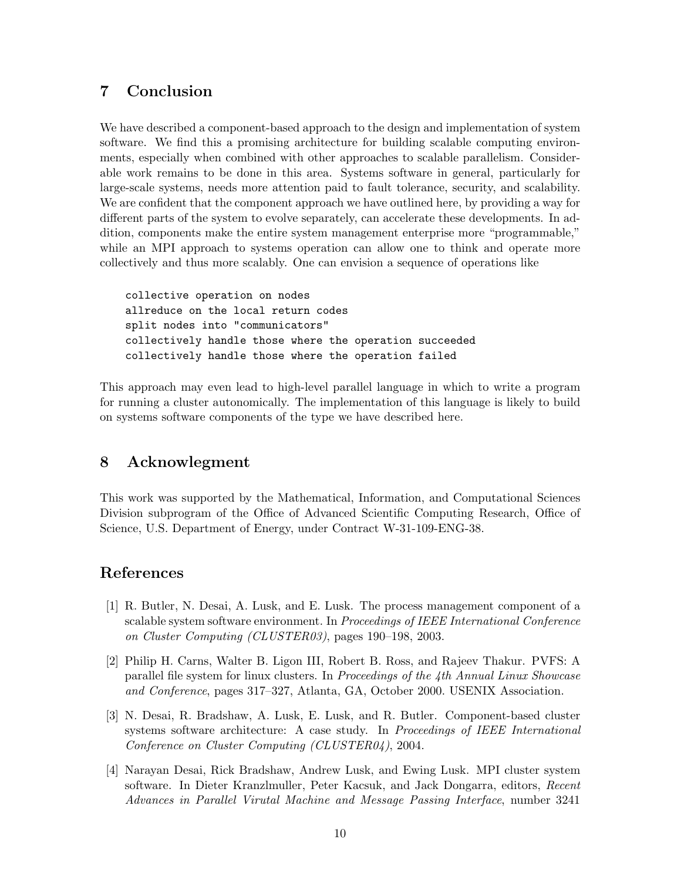# <span id="page-9-0"></span>7 Conclusion

We have described a component-based approach to the design and implementation of system software. We find this a promising architecture for building scalable computing environments, especially when combined with other approaches to scalable parallelism. Considerable work remains to be done in this area. Systems software in general, particularly for large-scale systems, needs more attention paid to fault tolerance, security, and scalability. We are confident that the component approach we have outlined here, by providing a way for different parts of the system to evolve separately, can accelerate these developments. In addition, components make the entire system management enterprise more "programmable," while an MPI approach to systems operation can allow one to think and operate more collectively and thus more scalably. One can envision a sequence of operations like

collective operation on nodes allreduce on the local return codes split nodes into "communicators" collectively handle those where the operation succeeded collectively handle those where the operation failed

This approach may even lead to high-level parallel language in which to write a program for running a cluster autonomically. The implementation of this language is likely to build on systems software components of the type we have described here.

### 8 Acknowlegment

This work was supported by the Mathematical, Information, and Computational Sciences Division subprogram of the Office of Advanced Scientific Computing Research, Office of Science, U.S. Department of Energy, under Contract W-31-109-ENG-38.

### References

- [1] R. Butler, N. Desai, A. Lusk, and E. Lusk. The process management component of a scalable system software environment. In Proceedings of IEEE International Conference on Cluster Computing (CLUSTER03), pages 190–198, 2003.
- [2] Philip H. Carns, Walter B. Ligon III, Robert B. Ross, and Rajeev Thakur. PVFS: A parallel file system for linux clusters. In Proceedings of the 4th Annual Linux Showcase and Conference, pages 317–327, Atlanta, GA, October 2000. USENIX Association.
- [3] N. Desai, R. Bradshaw, A. Lusk, E. Lusk, and R. Butler. Component-based cluster systems software architecture: A case study. In Proceedings of IEEE International Conference on Cluster Computing (CLUSTER04), 2004.
- [4] Narayan Desai, Rick Bradshaw, Andrew Lusk, and Ewing Lusk. MPI cluster system software. In Dieter Kranzlmuller, Peter Kacsuk, and Jack Dongarra, editors, Recent Advances in Parallel Virutal Machine and Message Passing Interface, number 3241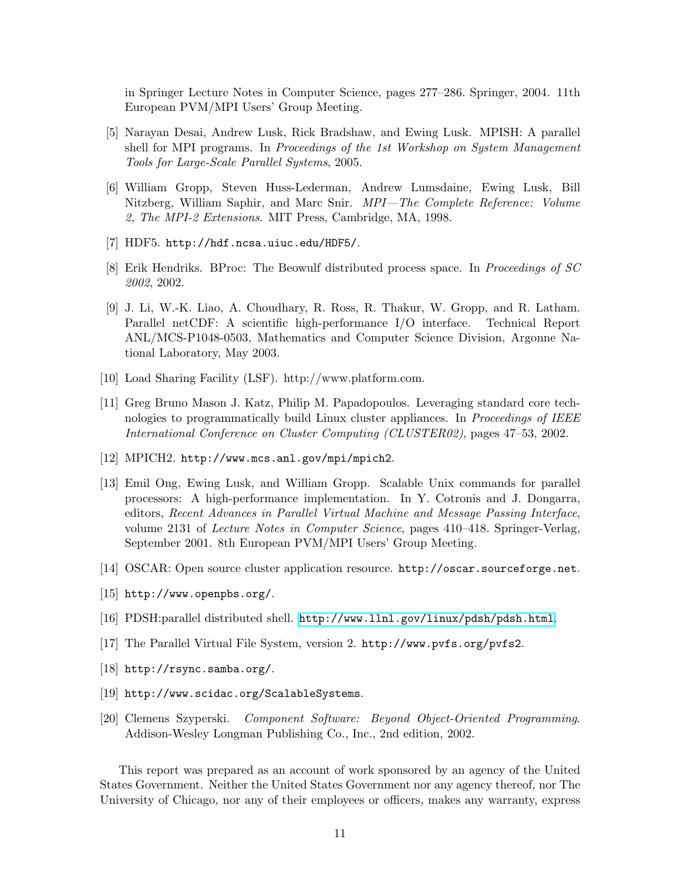<span id="page-10-0"></span>in Springer Lecture Notes in Computer Science, pages 277–286. Springer, 2004. 11th European PVM/MPI Users' Group Meeting.

- [5] Narayan Desai, Andrew Lusk, Rick Bradshaw, and Ewing Lusk. MPISH: A parallel shell for MPI programs. In Proceedings of the 1st Workshop on System Management Tools for Large-Scale Parallel Systems, 2005.
- [6] William Gropp, Steven Huss-Lederman, Andrew Lumsdaine, Ewing Lusk, Bill Nitzberg, William Saphir, and Marc Snir. MPI—The Complete Reference: Volume 2, The MPI-2 Extensions. MIT Press, Cambridge, MA, 1998.
- [7] HDF5. http://hdf.ncsa.uiuc.edu/HDF5/.
- [8] Erik Hendriks. BProc: The Beowulf distributed process space. In Proceedings of SC 2002, 2002.
- [9] J. Li, W.-K. Liao, A. Choudhary, R. Ross, R. Thakur, W. Gropp, and R. Latham. Parallel netCDF: A scientific high-performance I/O interface. Technical Report ANL/MCS-P1048-0503, Mathematics and Computer Science Division, Argonne National Laboratory, May 2003.
- [10] Load Sharing Facility (LSF). http://www.platform.com.
- [11] Greg Bruno Mason J. Katz, Philip M. Papadopoulos. Leveraging standard core technologies to programmatically build Linux cluster appliances. In Proceedings of IEEE International Conference on Cluster Computing (CLUSTER02), pages 47–53, 2002.
- [12] MPICH2. http://www.mcs.anl.gov/mpi/mpich2.
- [13] Emil Ong, Ewing Lusk, and William Gropp. Scalable Unix commands for parallel processors: A high-performance implementation. In Y. Cotronis and J. Dongarra, editors, Recent Advances in Parallel Virtual Machine and Message Passing Interface, volume 2131 of Lecture Notes in Computer Science, pages 410–418. Springer-Verlag, September 2001. 8th European PVM/MPI Users' Group Meeting.
- [14] OSCAR: Open source cluster application resource. http://oscar.sourceforge.net.
- [15] http://www.openpbs.org/.
- [16] PDSH:parallel distributed shell. <http://www.llnl.gov/linux/pdsh/pdsh.html>.
- [17] The Parallel Virtual File System, version 2. http://www.pvfs.org/pvfs2.
- [18] http://rsync.samba.org/.
- [19] http://www.scidac.org/ScalableSystems.
- [20] Clemens Szyperski. Component Software: Beyond Object-Oriented Programming. Addison-Wesley Longman Publishing Co., Inc., 2nd edition, 2002.

This report was prepared as an account of work sponsored by an agency of the United States Government. Neither the United States Government nor any agency thereof, nor The University of Chicago, nor any of their employees or officers, makes any warranty, express